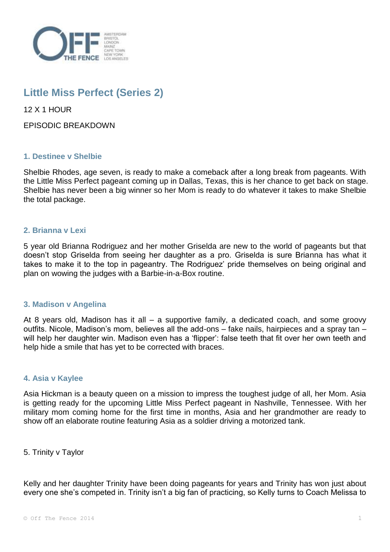

# **Little Miss Perfect (Series 2)**

12 X 1 HOUR

EPISODIC BREAKDOWN

## **1. Destinee v Shelbie**

Shelbie Rhodes, age seven, is ready to make a comeback after a long break from pageants. With the Little Miss Perfect pageant coming up in Dallas, Texas, this is her chance to get back on stage. Shelbie has never been a big winner so her Mom is ready to do whatever it takes to make Shelbie the total package.

## **2. Brianna v Lexi**

5 year old Brianna Rodriguez and her mother Griselda are new to the world of pageants but that doesn't stop Griselda from seeing her daughter as a pro. Griselda is sure Brianna has what it takes to make it to the top in pageantry. The Rodriguez' pride themselves on being original and plan on wowing the judges with a Barbie-in-a-Box routine.

#### **3. Madison v Angelina**

At 8 years old, Madison has it all – a supportive family, a dedicated coach, and some groovy outfits. Nicole, Madison's mom, believes all the add-ons – fake nails, hairpieces and a spray tan – will help her daughter win. Madison even has a 'flipper': false teeth that fit over her own teeth and help hide a smile that has yet to be corrected with braces.

#### **4. Asia v Kaylee**

Asia Hickman is a beauty queen on a mission to impress the toughest judge of all, her Mom. Asia is getting ready for the upcoming Little Miss Perfect pageant in Nashville, Tennessee. With her military mom coming home for the first time in months, Asia and her grandmother are ready to show off an elaborate routine featuring Asia as a soldier driving a motorized tank.

5. Trinity v Taylor

Kelly and her daughter Trinity have been doing pageants for years and Trinity has won just about every one she's competed in. Trinity isn't a big fan of practicing, so Kelly turns to Coach Melissa to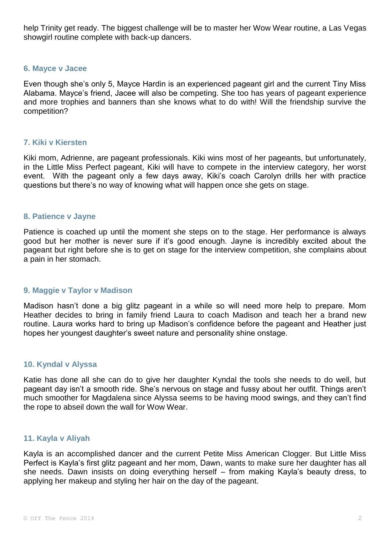help Trinity get ready. The biggest challenge will be to master her Wow Wear routine, a Las Vegas showgirl routine complete with back-up dancers.

#### **6. Mayce v Jacee**

Even though she's only 5, Mayce Hardin is an experienced pageant girl and the current Tiny Miss Alabama. Mayce's friend, Jacee will also be competing. She too has years of pageant experience and more trophies and banners than she knows what to do with! Will the friendship survive the competition?

#### **7. Kiki v Kiersten**

Kiki mom, Adrienne, are pageant professionals. Kiki wins most of her pageants, but unfortunately, in the Little Miss Perfect pageant, Kiki will have to compete in the interview category, her worst event. With the pageant only a few days away, Kiki's coach Carolyn drills her with practice questions but there's no way of knowing what will happen once she gets on stage.

#### **8. Patience v Jayne**

Patience is coached up until the moment she steps on to the stage. Her performance is always good but her mother is never sure if it's good enough. Jayne is incredibly excited about the pageant but right before she is to get on stage for the interview competition, she complains about a pain in her stomach.

#### **9. Maggie v Taylor v Madison**

Madison hasn't done a big glitz pageant in a while so will need more help to prepare. Mom Heather decides to bring in family friend Laura to coach Madison and teach her a brand new routine. Laura works hard to bring up Madison's confidence before the pageant and Heather just hopes her youngest daughter's sweet nature and personality shine onstage.

#### **10. Kyndal v Alyssa**

Katie has done all she can do to give her daughter Kyndal the tools she needs to do well, but pageant day isn't a smooth ride. She's nervous on stage and fussy about her outfit. Things aren't much smoother for Magdalena since Alyssa seems to be having mood swings, and they can't find the rope to abseil down the wall for Wow Wear.

### **11. Kayla v Aliyah**

Kayla is an accomplished dancer and the current Petite Miss American Clogger. But Little Miss Perfect is Kayla's first glitz pageant and her mom, Dawn, wants to make sure her daughter has all she needs. Dawn insists on doing everything herself – from making Kayla's beauty dress, to applying her makeup and styling her hair on the day of the pageant.